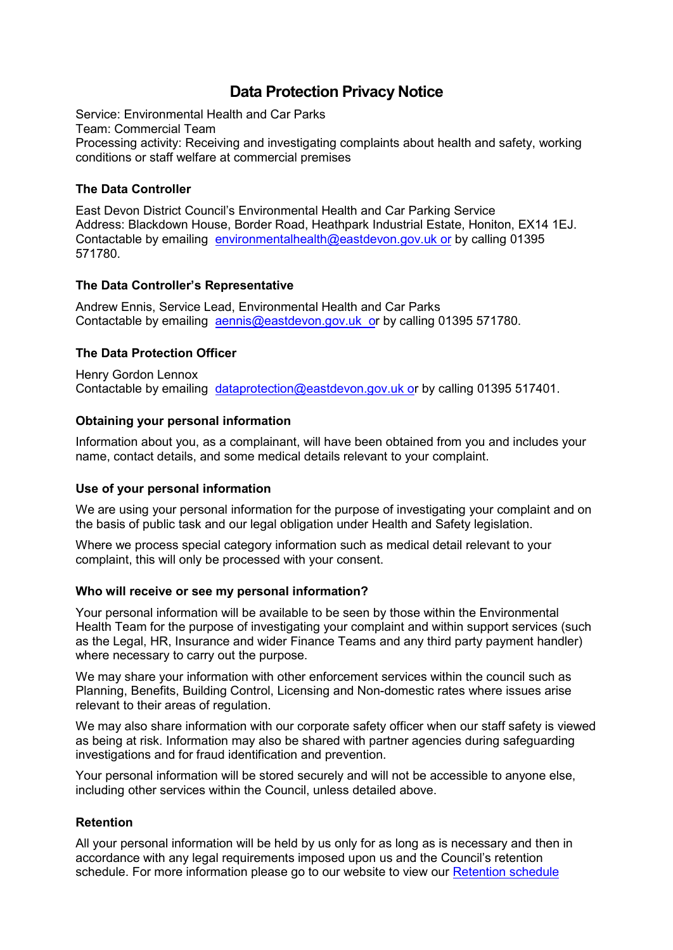# **Data Protection Privacy Notice**

Service: Environmental Health and Car Parks Team: Commercial Team Processing activity: Receiving and investigating complaints about health and safety, working conditions or staff welfare at commercial premises

# **The Data Controller**

East Devon District Council's Environmental Health and Car Parking Service Address: Blackdown House, Border Road, Heathpark Industrial Estate, Honiton, EX14 1EJ. Contactable by emailing [environmentalhealth@eastdevon.gov.uk](mailto:environmentalhealth@eastdevon.gov.uk) or by calling 01395 571780.

# **The Data Controller's Representative**

Andrew Ennis, Service Lead, Environmental Health and Car Parks Contactable by emailing [aennis@eastdevon.gov.uk](mailto:aennis@eastdevon.gov.uk) or by calling 01395 571780.

# **The Data Protection Officer**

Henry Gordon Lennox Contactable by emailing [dataprotection@eastdevon.gov.uk](mailto:dataprotection@eastdevon.gov.uk) or by calling 01395 517401.

# **Obtaining your personal information**

Information about you, as a complainant, will have been obtained from you and includes your name, contact details, and some medical details relevant to your complaint.

### **Use of your personal information**

We are using your personal information for the purpose of investigating your complaint and on the basis of public task and our legal obligation under Health and Safety legislation.

Where we process special category information such as medical detail relevant to your complaint, this will only be processed with your consent.

### **Who will receive or see my personal information?**

Your personal information will be available to be seen by those within the Environmental Health Team for the purpose of investigating your complaint and within support services (such as the Legal, HR, Insurance and wider Finance Teams and any third party payment handler) where necessary to carry out the purpose.

We may share your information with other enforcement services within the council such as Planning, Benefits, Building Control, Licensing and Non-domestic rates where issues arise relevant to their areas of regulation.

We may also share information with our corporate safety officer when our staff safety is viewed as being at risk. Information may also be shared with partner agencies during safeguarding investigations and for fraud identification and prevention.

Your personal information will be stored securely and will not be accessible to anyone else, including other services within the Council, unless detailed above.

### **Retention**

All your personal information will be held by us only for as long as is necessary and then in accordance with any legal requirements imposed upon us and the Council's retention schedule. For more information please go to our website to view our [Retention schedule](http://eastdevon.gov.uk/access-to-information/data-protection/document-retention-schedules/)